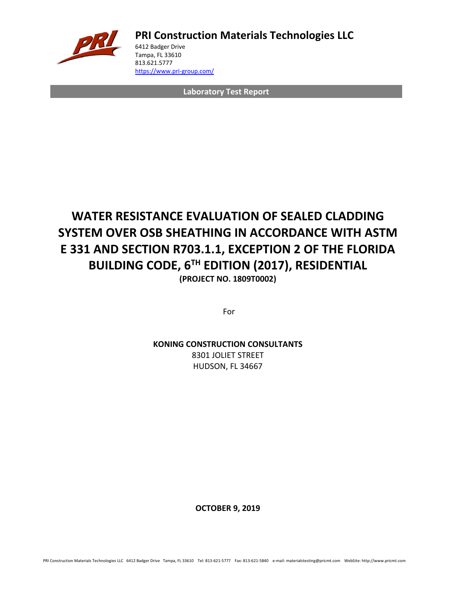

**PRI Construction Materials Technologies LLC**

6412 Badger Drive Tampa, FL 33610 813.621.5777 <https://www.pri-group.com/>

**Laboratory Test Report**

## **WATER RESISTANCE EVALUATION OF SEALED CLADDING SYSTEM OVER OSB SHEATHING IN ACCORDANCE WITH ASTM E 331 AND SECTION R703.1.1, EXCEPTION 2 OF THE FLORIDA BUILDING CODE, 6TH EDITION (2017), RESIDENTIAL (PROJECT NO. 1809T0002)**

For

**KONING CONSTRUCTION CONSULTANTS** 8301 JOLIET STREET HUDSON, FL 34667

**OCTOBER 9, 2019**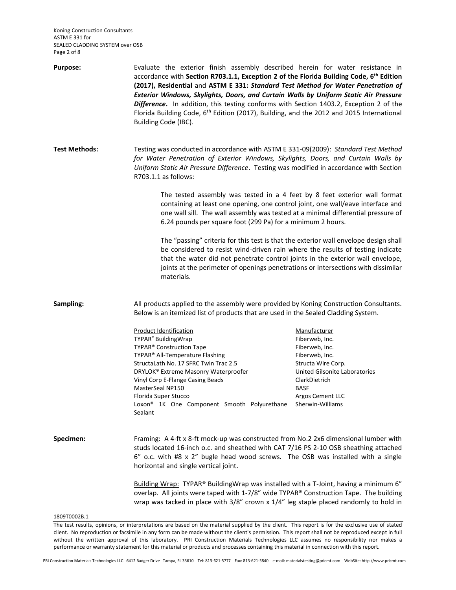Koning Construction Consultants ASTM E 331 for SEALED CLADDING SYSTEM over OSB Page 2 of 8

| Purpose:             | Evaluate the exterior finish assembly described herein for water resistance in<br>accordance with Section R703.1.1, Exception 2 of the Florida Building Code, 6th Edition<br>(2017), Residential and ASTM E 331: Standard Test Method for Water Penetration of<br>Exterior Windows, Skylights, Doors, and Curtain Walls by Uniform Static Air Pressure<br>Difference. In addition, this testing conforms with Section 1403.2, Exception 2 of the<br>Florida Building Code, 6 <sup>th</sup> Edition (2017), Building, and the 2012 and 2015 International<br>Building Code (IBC). |                                                                                                                                                                                                   |  |  |
|----------------------|----------------------------------------------------------------------------------------------------------------------------------------------------------------------------------------------------------------------------------------------------------------------------------------------------------------------------------------------------------------------------------------------------------------------------------------------------------------------------------------------------------------------------------------------------------------------------------|---------------------------------------------------------------------------------------------------------------------------------------------------------------------------------------------------|--|--|
| <b>Test Methods:</b> | Testing was conducted in accordance with ASTM E 331-09(2009): Standard Test Method<br>for Water Penetration of Exterior Windows, Skylights, Doors, and Curtain Walls by<br>Uniform Static Air Pressure Difference. Testing was modified in accordance with Section<br>R703.1.1 as follows:                                                                                                                                                                                                                                                                                       |                                                                                                                                                                                                   |  |  |
|                      | The tested assembly was tested in a 4 feet by 8 feet exterior wall format<br>containing at least one opening, one control joint, one wall/eave interface and<br>one wall sill. The wall assembly was tested at a minimal differential pressure of<br>6.24 pounds per square foot (299 Pa) for a minimum 2 hours.                                                                                                                                                                                                                                                                 |                                                                                                                                                                                                   |  |  |
|                      | The "passing" criteria for this test is that the exterior wall envelope design shall<br>be considered to resist wind-driven rain where the results of testing indicate<br>that the water did not penetrate control joints in the exterior wall envelope,<br>joints at the perimeter of openings penetrations or intersections with dissimilar<br>materials.                                                                                                                                                                                                                      |                                                                                                                                                                                                   |  |  |
| Sampling:            | All products applied to the assembly were provided by Koning Construction Consultants.<br>Below is an itemized list of products that are used in the Sealed Cladding System.                                                                                                                                                                                                                                                                                                                                                                                                     |                                                                                                                                                                                                   |  |  |
|                      | <b>Product Identification</b><br>TYPAR <sup>®</sup> BuildingWrap<br>TYPAR® Construction Tape<br>TYPAR® All-Temperature Flashing<br>StructaLath No. 17 SFRC Twin Trac 2.5<br>DRYLOK® Extreme Masonry Waterproofer<br>Vinyl Corp E-Flange Casing Beads<br>MasterSeal NP150<br>Florida Super Stucco<br>Loxon <sup>®</sup> 1K One Component Smooth Polyurethane<br>Sealant                                                                                                                                                                                                           | Manufacturer<br>Fiberweb, Inc.<br>Fiberweb, Inc.<br>Fiberweb, Inc.<br>Structa Wire Corp.<br>United Gilsonite Laboratories<br>ClarkDietrich<br><b>BASF</b><br>Argos Cement LLC<br>Sherwin-Williams |  |  |
| Specimen:            | Framing: A 4-ft x 8-ft mock-up was constructed from No.2 2x6 dimensional lumber with<br>studs located 16-inch o.c. and sheathed with CAT 7/16 PS 2-10 OSB sheathing attached<br>6" o.c. with #8 x 2" bugle head wood screws. The OSB was installed with a single<br>horizontal and single vertical joint.                                                                                                                                                                                                                                                                        |                                                                                                                                                                                                   |  |  |
|                      | Building Wrap: TYPAR® BuildingWrap was installed with a T-Joint, having a minimum 6"<br>overlap. All joints were taped with 1-7/8" wide TYPAR® Construction Tape. The building<br>wrap was tacked in place with 3/8" crown x 1/4" leg staple placed randomly to hold in                                                                                                                                                                                                                                                                                                          |                                                                                                                                                                                                   |  |  |
| 1809T0002B.1         |                                                                                                                                                                                                                                                                                                                                                                                                                                                                                                                                                                                  |                                                                                                                                                                                                   |  |  |

The test results, opinions, or interpretations are based on the material supplied by the client. This report is for the exclusive use of stated client. No reproduction or facsimile in any form can be made without the client's permission. This report shall not be reproduced except in full without the written approval of this laboratory. PRI Construction Materials Technologies LLC assumes no responsibility nor makes a performance or warranty statement for this material or products and processes containing this material in connection with this report.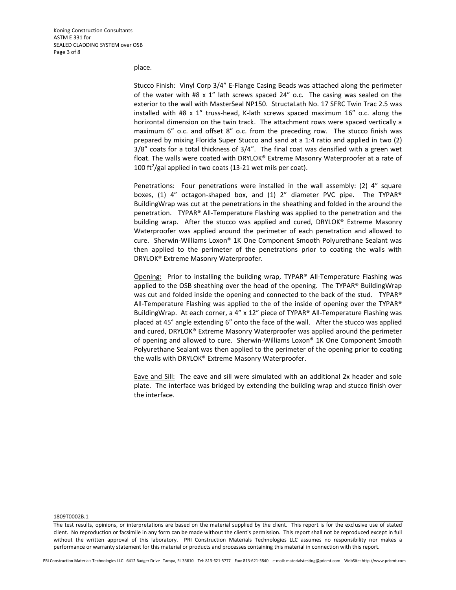place.

Stucco Finish: Vinyl Corp 3/4" E-Flange Casing Beads was attached along the perimeter of the water with #8 x 1" lath screws spaced 24" o.c. The casing was sealed on the exterior to the wall with MasterSeal NP150. StructaLath No. 17 SFRC Twin Trac 2.5 was installed with #8 x 1" truss-head, K-lath screws spaced maximum 16" o.c. along the horizontal dimension on the twin track. The attachment rows were spaced vertically a maximum 6" o.c. and offset 8" o.c. from the preceding row. The stucco finish was prepared by mixing Florida Super Stucco and sand at a 1:4 ratio and applied in two (2) 3/8" coats for a total thickness of 3/4". The final coat was densified with a green wet float. The walls were coated with DRYLOK® Extreme Masonry Waterproofer at a rate of 100 ft<sup>2</sup>/gal applied in two coats (13-21 wet mils per coat).

Penetrations: Four penetrations were installed in the wall assembly: (2) 4" square boxes, (1) 4" octagon-shaped box, and (1) 2" diameter PVC pipe. The TYPAR® BuildingWrap was cut at the penetrations in the sheathing and folded in the around the penetration. TYPAR® All-Temperature Flashing was applied to the penetration and the building wrap. After the stucco was applied and cured, DRYLOK® Extreme Masonry Waterproofer was applied around the perimeter of each penetration and allowed to cure. Sherwin-Williams Loxon® 1K One Component Smooth Polyurethane Sealant was then applied to the perimeter of the penetrations prior to coating the walls with DRYLOK® Extreme Masonry Waterproofer.

Opening: Prior to installing the building wrap, TYPAR® All-Temperature Flashing was applied to the OSB sheathing over the head of the opening. The TYPAR® BuildingWrap was cut and folded inside the opening and connected to the back of the stud. TYPAR® All-Temperature Flashing was applied to the of the inside of opening over the TYPAR® BuildingWrap. At each corner, a 4" x 12" piece of TYPAR® All-Temperature Flashing was placed at 45° angle extending 6" onto the face of the wall. After the stucco was applied and cured, DRYLOK® Extreme Masonry Waterproofer was applied around the perimeter of opening and allowed to cure. Sherwin-Williams Loxon® 1K One Component Smooth Polyurethane Sealant was then applied to the perimeter of the opening prior to coating the walls with DRYLOK® Extreme Masonry Waterproofer.

Eave and Sill: The eave and sill were simulated with an additional 2x header and sole plate. The interface was bridged by extending the building wrap and stucco finish over the interface.

### 1809T0002B.1

The test results, opinions, or interpretations are based on the material supplied by the client. This report is for the exclusive use of stated client. No reproduction or facsimile in any form can be made without the client's permission. This report shall not be reproduced except in full without the written approval of this laboratory. PRI Construction Materials Technologies LLC assumes no responsibility nor makes a performance or warranty statement for this material or products and processes containing this material in connection with this report.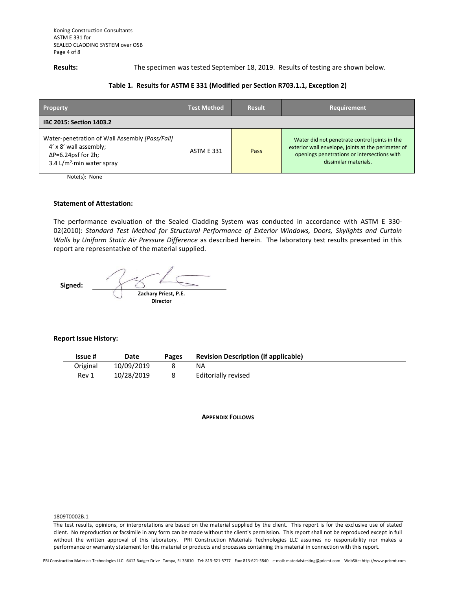**Results:** The specimen was tested September 18, 2019. Results of testing are shown below.

### **Table 1. Results for ASTM E 331 (Modified per Section R703.1.1, Exception 2)**

| <b>Property</b>                                                                                                                                           | <b>Test Method</b> | <b>Result</b> | Requirement                                                                                                                                                                 |  |  |
|-----------------------------------------------------------------------------------------------------------------------------------------------------------|--------------------|---------------|-----------------------------------------------------------------------------------------------------------------------------------------------------------------------------|--|--|
| <b>IBC 2015: Section 1403.2</b>                                                                                                                           |                    |               |                                                                                                                                                                             |  |  |
| Water-penetration of Wall Assembly [Pass/Fail]<br>4' x 8' wall assembly;<br>$\Delta P = 6.24$ psf for 2h;<br>3.4 L/m <sup>2</sup> $\cdot$ min water spray | <b>ASTM E 331</b>  | Pass          | Water did not penetrate control joints in the<br>exterior wall envelope, joints at the perimeter of<br>openings penetrations or intersections with<br>dissimilar materials. |  |  |

Note(s): None

### **Statement of Attestation:**

The performance evaluation of the Sealed Cladding System was conducted in accordance with ASTM E 330- 02(2010): *Standard Test Method for Structural Performance of Exterior Windows, Doors, Skylights and Curtain Walls by Uniform Static Air Pressure Difference* as described herein.The laboratory test results presented in this report are representative of the material supplied.

 **Signed: Zachary Priest, P.E. Director**

### **Report Issue History:**

| <b>Issue #</b> | Date       | <b>Pages</b> | <b>Revision Description (if applicable)</b> |
|----------------|------------|--------------|---------------------------------------------|
| Original       | 10/09/2019 |              | ΝA                                          |
| Rev 1          | 10/28/2019 |              | Editorially revised                         |

**APPENDIX FOLLOWS**

### 1809T0002B.1

The test results, opinions, or interpretations are based on the material supplied by the client. This report is for the exclusive use of stated client. No reproduction or facsimile in any form can be made without the client's permission. This report shall not be reproduced except in full without the written approval of this laboratory. PRI Construction Materials Technologies LLC assumes no responsibility nor makes a performance or warranty statement for this material or products and processes containing this material in connection with this report.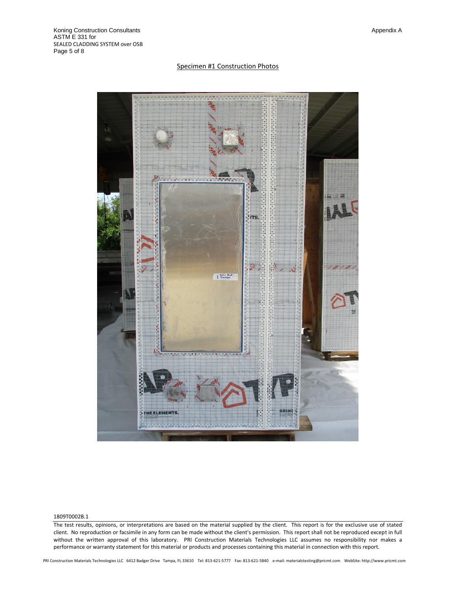### Specimen #1 Construction Photos



### 1809T0002B.1

The test results, opinions, or interpretations are based on the material supplied by the client. This report is for the exclusive use of stated client. No reproduction or facsimile in any form can be made without the client's permission. This report shall not be reproduced except in full without the written approval of this laboratory. PRI Construction Materials Technologies LLC assumes no responsibility nor makes a performance or warranty statement for this material or products and processes containing this material in connection with this report.

PRI Construction Materials Technologies LLC 6412 Badger Drive Tampa, FL 33610 Tel: 813-621-5777 Fax: 813-621-5840 e-mail: materialstesting@pricmt.com WebSite: http://www.pricmt.com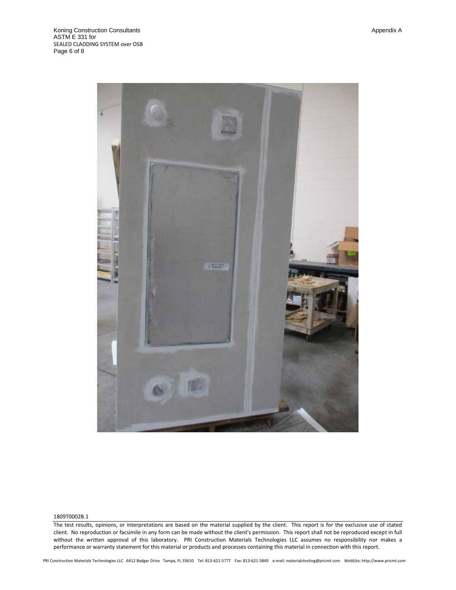

### 1809T0002B.1

The test results, opinions, or interpretations are based on the material supplied by the client. This report is for the exclusive use of stated client. No reproduction or facsimile in any form can be made without the client's permission. This report shall not be reproduced except in full without the written approval of this laboratory. PRI Construction Materials Technologies LLC assumes no responsibility nor makes a performance or warranty statement for this material or products and processes containing this material in connection with this report.

PRI Construction Materials Technologies LLC 6412 Badger Drive Tampa, FL 33610 Tel: 813-621-5777 Fax: 813-621-5840 e-mail: materialstesting@pricmt.com WebSite: http://www.pricmt.com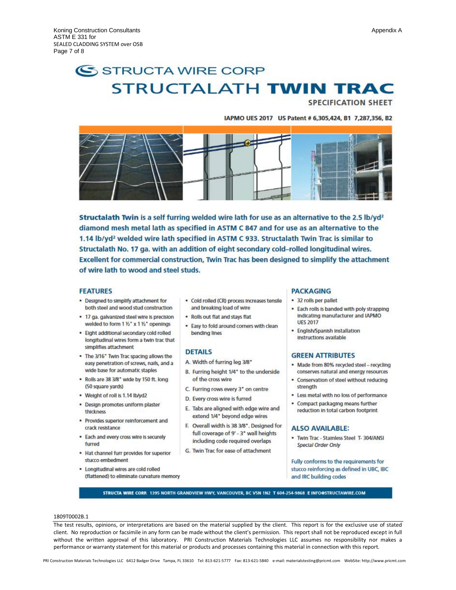# SSTRUCTA WIRE CORP **STRUCTALATH TWIN TRAC**

**SPECIFICATION SHEET** 

### IAPMO UES 2017 US Patent # 6,305,424, B1 7,287,356, B2



Structalath Twin is a self furring welded wire lath for use as an alternative to the 2.5 lb/yd<sup>2</sup> diamond mesh metal lath as specified in ASTM C 847 and for use as an alternative to the 1.14 lb/yd<sup>2</sup> welded wire lath specified in ASTM C 933. Structalath Twin Trac is similar to Structalath No. 17 ga. with an addition of eight secondary cold-rolled longitudinal wires. Excellent for commercial construction, Twin Trac has been designed to simplify the attachment of wire lath to wood and steel studs.

### **FEATURES**

- . Designed to simplify attachment for both steel and wood stud construction
- . 17 ga. galvanized steel wire is precision welded to form 1 1/2" x 1 1/2" openings
- · Eight additional secondary cold rolled longitudinal wires form a twin trac that simplifies attachment
- . The 3/16" Twin Trac spacing allows the easy penetration of screws, nails, and a wide base for automatic staples
- . Rolls are 38 3/8" wide by 150 ft. long (50 square yards)
- Weight of roll is 1.14 lb/yd2
- · Design promotes uniform plaster thickness
- · Provides superior reinforcement and crack resistance
- . Each and every cross wire is securely furred
- . Hat channel furr provides for superior stucco embedment
- · Longitudinal wires are cold rolled (flattened) to eliminate curvature memory
- · Cold rolled (CR) process Increases tensile and breaking load of wire
- . Rolls out flat and stays flat
- . Easy to fold around corners with clean bending lines

### **DETAILS**

- A. Width of furring leg 3/8"
- B. Furring height 1/4" to the underside of the cross wire
- C. Furring rows every 3" on centre
- D. Every cross wire is furred
- E. Tabs are aligned with edge wire and extend 1/4" beyond edge wires
- F. Overall width is 38 3/8". Designed for full coverage of 9' - 3" wall heights including code required overlaps
- G. Twin Trac for ease of attachment

### **PACKAGING**

- · 32 rolls per pallet
- . Each rolls is banded with poly strapping Indicating manufacturer and IAPMO **UES 2017**
- · English/Spanish Installation Instructions available

### **GREEN ATTRIBUTES**

- · Made from 80% recycled steel recycling conserves natural and energy resources
- · Conservation of steel without reducing strength
- . Less metal with no loss of performance
- . Compact packaging means further reduction in total carbon footprint

### **ALSO AVAILABLE:**

· Twin Trac - Stainless Steel T- 304/ANSI **Special Order Only** 

Fully conforms to the requirements for stucco reinforcing as defined in UBC, IBC and IRC building codes

STRUCTA WIRE CORP. 1395 NORTH GRANDVIEW HWY, VANCOUVER, BC V5N 1N2 T 604-254-9868 E INFOOSTRUCTAWIRE.COM

### 1809T0002B.1

The test results, opinions, or interpretations are based on the material supplied by the client. This report is for the exclusive use of stated client. No reproduction or facsimile in any form can be made without the client's permission. This report shall not be reproduced except in full without the written approval of this laboratory. PRI Construction Materials Technologies LLC assumes no responsibility nor makes a performance or warranty statement for this material or products and processes containing this material in connection with this report.